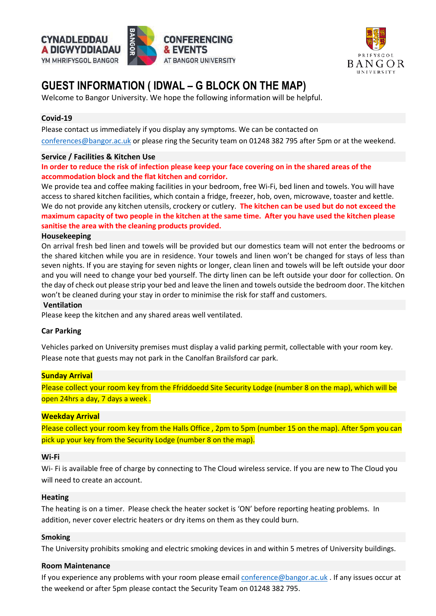



# **GUEST INFORMATION ( IDWAL – G BLOCK ON THE MAP)**

Welcome to Bangor University. We hope the following information will be helpful.

# **Covid-19**

Please contact us immediately if you display any symptoms. We can be contacted on [conferences@bangor.ac.uk](mailto:conferences@bangor.ac.uk) or please ring the Security team on 01248 382 795 after 5pm or at the weekend.

# **Service / Facilities & Kitchen Use**

In order to reduce the risk of infection please keep your face covering on in the shared areas of the **accommodation block and the flat kitchen and corridor.**

We provide tea and coffee making facilities in your bedroom, free Wi-Fi, bed linen and towels. You will have access to shared kitchen facilities, which contain a fridge, freezer, hob, oven, microwave, toaster and kettle. We do not provide any kitchen utensils, crockery or cutlery. **The kitchen can be used but do not exceed the** maximum capacity of two people in the kitchen at the same time. After you have used the kitchen please **sanitise the area with the cleaning products provided.**

#### **Housekeeping**

On arrival fresh bed linen and towels will be provided but our domestics team will not enter the bedrooms or the shared kitchen while you are in residence. Your towels and linen won't be changed for stays of less than seven nights. If you are staying for seven nights or longer, clean linen and towels will be left outside your door and you will need to change your bed yourself. The dirty linen can be left outside your door for collection. On the day of check out please strip your bed and leave the linen and towels outside the bedroom door. The kitchen won't be cleaned during your stay in order to minimise the risk for staff and customers.

#### **Ventilation**

Please keep the kitchen and any shared areas well ventilated.

#### **Car Parking**

Vehicles parked on University premises must display a valid parking permit, collectable with your room key. Please note that guests may not park in the Canolfan Brailsford car park.

#### **Sunday Arrival**

Please collect your room key from the Ffriddoedd Site Security Lodge (number 8 on the map), which will be open 24hrs a day, 7 days a week .

# **Weekday Arrival**

Please collect your room key from the Halls Office , 2pm to 5pm (number 15 on the map). After 5pm you can pick up your key from the Security Lodge (number 8 on the map).

#### **Wi-Fi**

Wi- Fi is available free of charge by connecting to The Cloud wireless service. If you are new to The Cloud you will need to create an account.

#### **Heating**

The heating is on a timer. Please check the heater socket is 'ON' before reporting heating problems. In addition, never cover electric heaters or dry items on them as they could burn.

#### **Smoking**

The University prohibits smoking and electric smoking devices in and within 5 metres of University buildings.

#### **Room Maintenance**

If you experience any problems with your room please email **conference@bangor.ac.uk** . If any issues occur at the weekend or after 5pm please contact the Security Team on 01248 382 795.